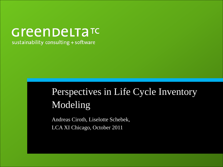# **Green DeLTaTC**

sustainability consulting + software

# Perspectives in Life Cycle Inventory **Modeling**

Andreas Ciroth, Liselotte Schebek, LCA XI Chicago, October 2011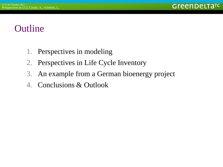# **Outline**

- 1. Perspectives in modeling
- 2. Perspectives in Life Cycle Inventory
- 3. An example from a German bioenergy project
- 4. Conclusions & Outlook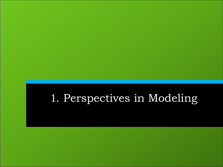# 1. Perspectives in Modeling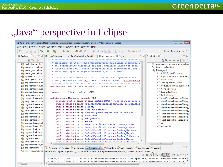# "Java" perspective in Eclipse

| Java - org.openIca.core.editors/src/org/openIca/core/editors/productsystem/graphical/Messages.java - Eclipse |                                                                                                                                                                                                                                                                                                                                                                                                                                                                                                                                                                                          |                                                                                                |  |  |
|--------------------------------------------------------------------------------------------------------------|------------------------------------------------------------------------------------------------------------------------------------------------------------------------------------------------------------------------------------------------------------------------------------------------------------------------------------------------------------------------------------------------------------------------------------------------------------------------------------------------------------------------------------------------------------------------------------------|------------------------------------------------------------------------------------------------|--|--|
| File Edit Source Refactor Navigate Search Project Run Window Help                                            |                                                                                                                                                                                                                                                                                                                                                                                                                                                                                                                                                                                          |                                                                                                |  |  |
| 門・<br>$\mathbb{R}$                                                                                           | $\mathbf{G} \bullet \; \mathbf{B} \oplus \mathcal{A} \bullet \; \mathbf{F} \bullet \mathcal{A} \bullet \; \mathbf{F} \bullet \mathbf{F} \bullet \mathbf{F} \bullet \mathbf{F} \bullet \mathbf{F} \bullet \mathbf{F} \bullet \mathbf{F} \bullet \mathbf{F} \bullet \mathbf{F} \bullet \mathbf{F} \bullet \mathbf{F} \bullet \mathbf{F} \bullet \mathbf{F} \bullet \mathbf{F} \bullet \mathbf{F} \bullet \mathbf{F} \bullet \mathbf{F} \bullet \mathbf{F} \bullet \mathbf{F} \bullet \mathbf{F} \bullet \mathbf{F} \bullet \mathbf{F$<br>$\mathbf{Q}_\mathbf{a}$ $\mathbf{y}$ $\mathbf{B}$ | $\mathbb{P}^2$ $\mathbb{E}^0$ Team Synchr 3 <sup>29</sup>                                      |  |  |
| $\Box$<br>■ Packag ⊠                                                                                         | 一日<br>FlowEditor.java<br>AppContextMenuProvid<br><b>D</b> Messages.java 23                                                                                                                                                                                                                                                                                                                                                                                                                                                                                                               | $\frac{1}{2}$ Outline $\frac{1}{2}$<br>一日                                                      |  |  |
| $\overline{\phantom{0}}$<br>59<br>低<br>F.<br>Scalculation.tests                                              | Copyright (c) 2007 - 2010 GreenDeltaTC. All rights reserved. T                                                                                                                                                                                                                                                                                                                                                                                                                                                                                                                           | $\triangledown$<br>ほ 风 だ の だ<br>59<br>org.openlca.core.editors.productsys                      |  |  |
| G.<br>> com.greendeltatc.c                                                                                   | * the accompanying materials are made available under the terms<br>* Public License v1.1 which accompanies this distribution, and i                                                                                                                                                                                                                                                                                                                                                                                                                                                      | '≡'<br>import declarations                                                                     |  |  |
| $\mathbb{R}^d$ > com.greendeltatc.s                                                                          | * http://www.openlca.org/uploads/media/MPL-1.1.html                                                                                                                                                                                                                                                                                                                                                                                                                                                                                                                                      | $\Theta_n$ Messages 1.1<br>&F BUNDLE_NAME: String                                              |  |  |
| com.greendeltatc.t<br>installer [h1222425.                                                                   | * Contributors: GreenDeltaTC - initial API and implementation                                                                                                                                                                                                                                                                                                                                                                                                                                                                                                                            | o <sup>S</sup> AppActionBarContributorClass                                                    |  |  |
| 읇<br>> org.openica.core.a                                                                                    | www.greendeltatc.com tel.: +49 30 4849 6030 mail: gdtc@greende                                                                                                                                                                                                                                                                                                                                                                                                                                                                                                                           | o <sup>S</sup> Delete : String                                                                 |  |  |
| org.openica.core.apj<br>œ<br>e<br>org.openlca.core.cal                                                       | package org.openica.core.editors.productsystem.graphical;                                                                                                                                                                                                                                                                                                                                                                                                                                                                                                                                | o <sup>S</sup> LoadingPossible : String<br>o <sup>S</sup> ProductSystemGraphEditor_Filt        |  |  |
| org.openica.core.cal                                                                                         |                                                                                                                                                                                                                                                                                                                                                                                                                                                                                                                                                                                          | o <sup>S</sup> Providers: String                                                               |  |  |
| org.openica.core.cal<br>$\mathbb{R}^d$ > org.openica.core.d                                                  | import org.eclipse.osgi.util.NLS;                                                                                                                                                                                                                                                                                                                                                                                                                                                                                                                                                        | o <sup>S</sup> Recipients : String<br>o <sup>S</sup> Route: String                             |  |  |
| org.openIca.core.dat<br>舃                                                                                    | public class Messages extends NLS {                                                                                                                                                                                                                                                                                                                                                                                                                                                                                                                                                      | o <sup>S</sup> SelectPossibleProcessesDialog                                                   |  |  |
| 歸<br>>org.openica.core.e<br>G.<br>org.openlca.core.edi                                                       | private static final String BUNDLE NAME = "org.openlca.core.e<br>public static String AppActionBarContributorClass LayoutActio                                                                                                                                                                                                                                                                                                                                                                                                                                                           | o <sup>S</sup> SelectPossibleProcessesDialog<br>o <sup>S</sup> SelectPossibleProcessesDialog   |  |  |
| 舄<br>org.openica.core.mc                                                                                     | public static String Delete;                                                                                                                                                                                                                                                                                                                                                                                                                                                                                                                                                             | o <sup>S</sup> SelectPossibleProcessesDialog                                                   |  |  |
| 윪<br>> org.openIca.core.n<br>org.openica.core.res                                                            | public static String LoadingPossible;<br>public static String ProductSystemGraphEditor FilterLabel;                                                                                                                                                                                                                                                                                                                                                                                                                                                                                      | o <sup>S</sup> SelectPossibleProcessesDialog_<br>o <sup>S</sup> SelectPossibleProcessesDialog_ |  |  |
| org.openica.help [h                                                                                          | public static String Providers;<br>public static String Recipients;                                                                                                                                                                                                                                                                                                                                                                                                                                                                                                                      | o <sup>S</sup> SelectPossibleProcessesDialog                                                   |  |  |
| 욺<br>org.openica.ilcd [h]<br>溢<br>org.openica.ilcd.net                                                       | public static String Route:                                                                                                                                                                                                                                                                                                                                                                                                                                                                                                                                                              | o <sup>S</sup> SelectPossibleProcessesDialog<br>$\blacksquare$ <sup>S</sup> {}                 |  |  |
| org.openica.io [h12]<br>溢                                                                                    | public static String SelectPossibleProcessesDialog Connect;<br>public static String SelectPossibleProcessesDialog Create;                                                                                                                                                                                                                                                                                                                                                                                                                                                                | <sup>c</sup> Messages()                                                                        |  |  |
| G<br>org.openica.io.ui [h<br>$\mathbb{R}^d$ org.openica.io.ui.nl                                             | public static String SelectPossibleProcessesDialog Exchange;                                                                                                                                                                                                                                                                                                                                                                                                                                                                                                                             |                                                                                                |  |  |
| org.openica.model.i                                                                                          | public static String SelectPossibleProcessesDialog Exists;<br>public static String SelectPossibleProcessesDialog IsConnecte                                                                                                                                                                                                                                                                                                                                                                                                                                                              |                                                                                                |  |  |
| e<br>org.openica.tests [l                                                                                    | public static String SelectPossibleProcessesDialog Name;                                                                                                                                                                                                                                                                                                                                                                                                                                                                                                                                 |                                                                                                |  |  |
| $\frac{1}{200}$ > org.openica.ui [h]<br>org.openica.ui.nl_de                                                 | $\leftarrow$                                                                                                                                                                                                                                                                                                                                                                                                                                                                                                                                                                             | $\overline{ }$<br>m.                                                                           |  |  |
|                                                                                                              | $\mathbb{G}^1_0$ org.openIca.util [h1 $\mathbb{R}$ Problems $\mathbb G$ avadoc $\mathbb G$ , Declaration $\mathbb G$ Console $\mathbb X$ $\mathbb Q$ Error Log $\mathbb F^3$ Call Hierarchy $\mathbb H^3$ Synchronize $\mathscr A$ Search                                                                                                                                                                                                                                                                                                                                                | $=$ $F$                                                                                        |  |  |
| wiki [h1222425.strat                                                                                         | <terminated> openLCA.product (1) [Eclipse Application] C:\Program Files\Java\jre6\bin\javaw.exe (19.04.2011 17:52:57)</terminated>                                                                                                                                                                                                                                                                                                                                                                                                                                                       | Ex.                                                                                            |  |  |
| $\vert W \vert$                                                                                              | [EL Info]: 2011-04-19 17:53:10.478--ServerSession (549894320)--EclipseLink, version: Eclipse Persistenc <sup>1</sup><br>Trin 1: 2011-04-19 17:53:10 584--ServerSession (549894320)--openLCA url=idbc:mysql://127 0 0 1:3306/<br>FET.                                                                                                                                                                                                                                                                                                                                                     |                                                                                                |  |  |
|                                                                                                              |                                                                                                                                                                                                                                                                                                                                                                                                                                                                                                                                                                                          |                                                                                                |  |  |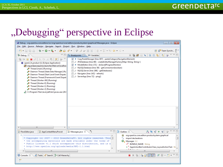# "Debugging" perspective in Eclipse

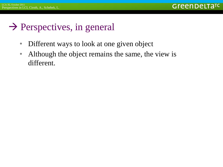# $\rightarrow$  Perspectives, in general

- Different ways to look at one given object
- Although the object remains the same, the view is different.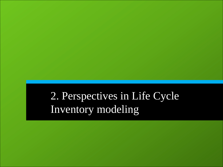2. Perspectives in Life Cycle Inventory modeling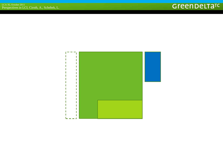#### GreenDeLTaTC

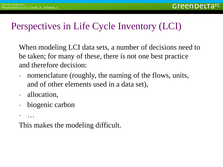## Perspectives in Life Cycle Inventory (LCI)

When modeling LCI data sets, a number of decisions need to be taken; for many of these, there is not one best practice and therefore decision:

- nomenclature (roughly, the naming of the flows, units, and of other elements used in a data set),
- allocation,
- biogenic carbon

 $\cdot$  .

This makes the modeling difficult.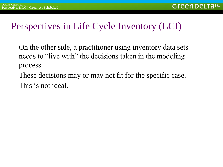## Perspectives in Life Cycle Inventory (LCI)

On the other side, a practitioner using inventory data sets needs to "live with" the decisions taken in the modeling process.

These decisions may or may not fit for the specific case. This is not ideal.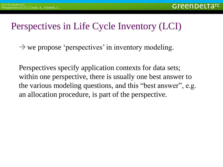## Perspectives in Life Cycle Inventory (LCI)

 $\rightarrow$  we propose 'perspectives' in inventory modeling.

Perspectives specify application contexts for data sets; within one perspective, there is usually one best answer to the various modeling questions, and this "best answer", e.g. an allocation procedure, is part of the perspective.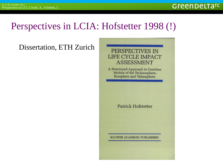#### Perspectives in LCIA: Hofstetter 1998 (!)

#### Dissertation, ETH Zurich

#### PERSPECTIVES IN LIFE CYCLE IMPACT **ASSESSMENT**

A Structured Approach to Combine Models of the Technosphere, **Ecosphere and Valuesphere** 

#### **Patrick Hofstetter**

KLUWER ACADEMIC PUBLISHERS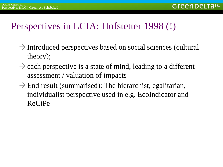# Perspectives in LCIA: Hofstetter 1998 (!)

- $\rightarrow$  Introduced perspectives based on social sciences (cultural theory);
- $\rightarrow$  each perspective is a state of mind, leading to a different assessment / valuation of impacts
- $\rightarrow$  End result (summarised): The hierarchist, egalitarian, individualist perspective used in e.g. EcoIndicator and ReCiPe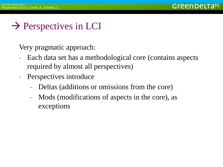# $\rightarrow$  Perspectives in LCI

Very pragmatic approach:

- Each data set has a methodological core (contains aspects required by almost all perspectives)
- Perspectives introduce
	- Deltas (additions or omissions from the core)
	- Mods (modifications of aspects in the core), as exceptions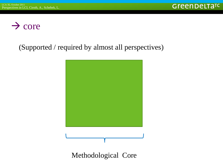

#### (Supported / required by almost all perspectives)

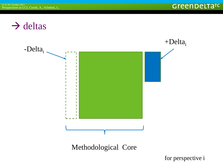GreenDeLTaTC



for perspective i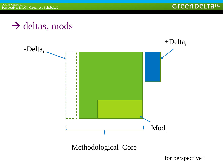GreenDeLTaTC





for perspective i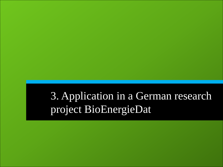3. Application in a German research project BioEnergieDat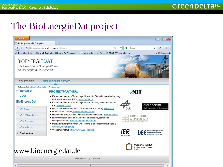# The BioEnergieDat project

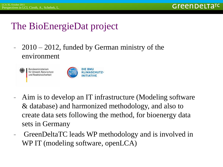# The BioEnergieDat project

- 2010 – 2012, funded by German ministry of the environment



- Aim is to develop an IT infrastructure (Modeling software & database) and harmonized methodology, and also to create data sets following the method, for bioenergy data sets in Germany
- GreenDeltaTC leads WP methodology and is involved in WP IT (modeling software, openLCA)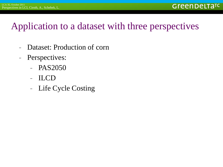# Application to a dataset with three perspectives

- Dataset: Production of corn
- Perspectives:
	- PAS2050
	- ILCD
	- Life Cycle Costing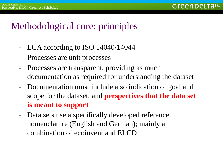## Methodological core: principles

- LCA according to ISO 14040/14044
- Processes are unit processes
- Processes are transparent, providing as much documentation as required for understanding the dataset
- Documentation must include also indication of goal and scope for the dataset, and **perspectives that the data set is meant to support**
- Data sets use a specifically developed reference nomenclature (English and German); mainly a combination of ecoinvent and ELCD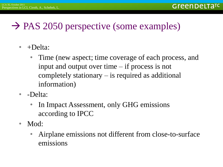# $\rightarrow$  PAS 2050 perspective (some examples)

- $+$ Delta:
	- Time (new aspect; time coverage of each process, and input and output over time – if process is not completely stationary – is required as additional information)
- -Delta:
	- In Impact Assessment, only GHG emissions according to IPCC
- Mod:
	- Airplane emissions not different from close-to-surface emissions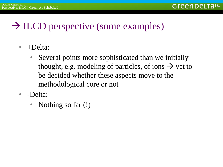# $\rightarrow$  ILCD perspective (some examples)

- $+$ Delta:
	- Several points more sophisticated than we initially thought, e.g. modeling of particles, of ions  $\rightarrow$  yet to be decided whether these aspects move to the methodological core or not
- -Delta:
	- Nothing so far (!)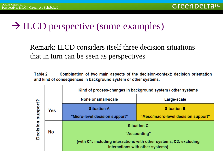## $\rightarrow$  ILCD perspective (some examples)

Remark: ILCD considers itself three decision situations that in turn can be seen as perspectives

Table 2 Combination of two main aspects of the decision-context: decision orientation and kind of consequences in background system or other systems.

|                      |                                                                                                        | Kind of process-changes in background system / other systems |                                     |  |
|----------------------|--------------------------------------------------------------------------------------------------------|--------------------------------------------------------------|-------------------------------------|--|
|                      |                                                                                                        | None or small-scale                                          | Large-scale                         |  |
| support?<br>Decision | Yes                                                                                                    | <b>Situation A</b>                                           | <b>Situation B</b>                  |  |
|                      |                                                                                                        | "Micro-level decision support"                               | "Meso/macro-level decision support" |  |
|                      | <b>No</b>                                                                                              | <b>Situation C</b>                                           |                                     |  |
|                      |                                                                                                        | "Accounting"                                                 |                                     |  |
|                      | (with C1: including interactions with other systems, C2: excluding<br>interactions with other systems) |                                                              |                                     |  |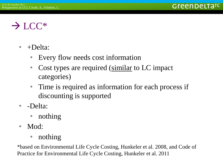# $\rightarrow$  LCC\*

- $+$ Delta:
	- Every flow needs cost information
	- Cost types are required (similar to LC impact) categories)
	- Time is required as information for each process if discounting is supported
- -Delta:
	- nothing
- Mod:
	- nothing

\*based on Environmental Life Cycle Costing, Hunkeler et al. 2008, and Code of Practice for Environmental Life Cycle Costing, Hunkeler et al. 2011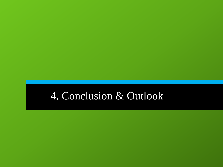# 4. Conclusion & Outlook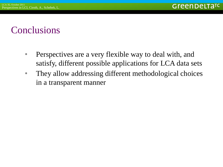## **Conclusions**

- Perspectives are a very flexible way to deal with, and satisfy, different possible applications for LCA data sets
- They allow addressing different methodological choices in a transparent manner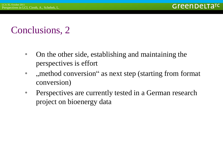# Conclusions, 2

- On the other side, establishing and maintaining the perspectives is effort
- $\bullet$ , method conversion " as next step (starting from format conversion)
- Perspectives are currently tested in a German research project on bioenergy data